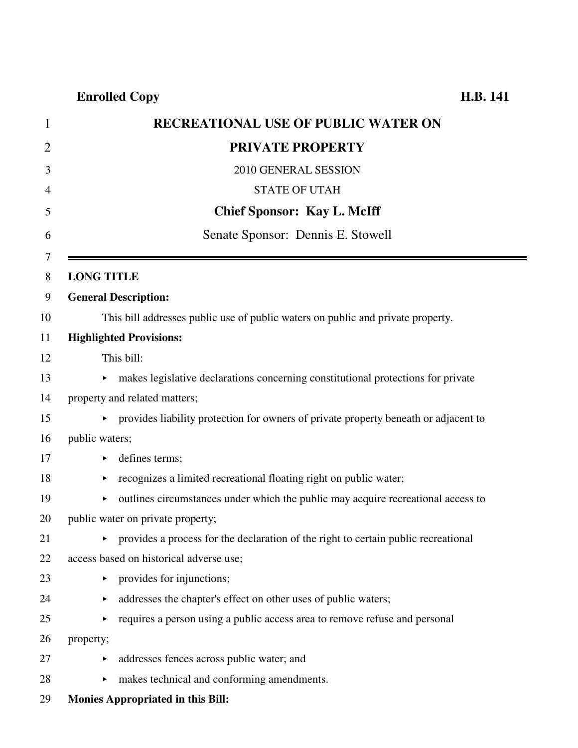| $\mathbf 1$    | <b>RECREATIONAL USE OF PUBLIC WATER ON</b>                                             |
|----------------|----------------------------------------------------------------------------------------|
| $\overline{2}$ | <b>PRIVATE PROPERTY</b>                                                                |
| 3              | 2010 GENERAL SESSION                                                                   |
| 4              | <b>STATE OF UTAH</b>                                                                   |
| 5              | <b>Chief Sponsor: Kay L. McIff</b>                                                     |
| 6              | Senate Sponsor: Dennis E. Stowell                                                      |
| 7<br>8         | <b>LONG TITLE</b>                                                                      |
| 9              | <b>General Description:</b>                                                            |
| 10             | This bill addresses public use of public waters on public and private property.        |
| 11             | <b>Highlighted Provisions:</b>                                                         |
| 12             | This bill:                                                                             |
| 13             | • makes legislative declarations concerning constitutional protections for private     |
| 14             | property and related matters;                                                          |
| 15             | • provides liability protection for owners of private property beneath or adjacent to  |
| 16             | public waters;                                                                         |
| 17             | defines terms;<br>▶                                                                    |
| 18             | recognizes a limited recreational floating right on public water;<br>▶                 |
| 19             | outlines circumstances under which the public may acquire recreational access to<br>Þ. |
| 20             | public water on private property;                                                      |
| 21             | • provides a process for the declaration of the right to certain public recreational   |
| 22             | access based on historical adverse use;                                                |
| 23             | provides for injunctions;<br>Þ.                                                        |
| 24             | addresses the chapter's effect on other uses of public waters;<br>▶                    |
| 25             | requires a person using a public access area to remove refuse and personal             |
| 26             | property;                                                                              |
| 27             | addresses fences across public water; and                                              |
| 28             | makes technical and conforming amendments.<br>►                                        |
| 29             | <b>Monies Appropriated in this Bill:</b>                                               |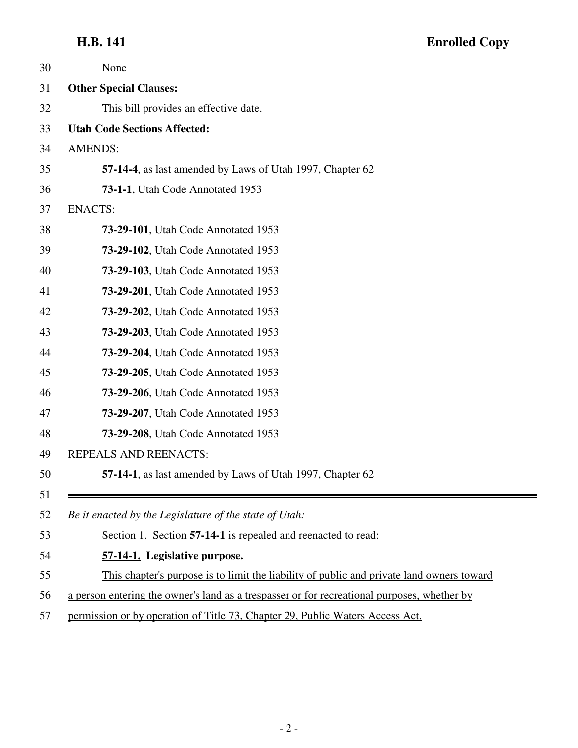### **H.B. 141**

| <b>Enrolled Copy</b> |  |
|----------------------|--|
|----------------------|--|

≡

| 30       | None                                                                                        |
|----------|---------------------------------------------------------------------------------------------|
| 31       | <b>Other Special Clauses:</b>                                                               |
| 32       | This bill provides an effective date.                                                       |
| 33       | <b>Utah Code Sections Affected:</b>                                                         |
| 34       | <b>AMENDS:</b>                                                                              |
| 35       | 57-14-4, as last amended by Laws of Utah 1997, Chapter 62                                   |
| 36       | 73-1-1, Utah Code Annotated 1953                                                            |
| 37       | <b>ENACTS:</b>                                                                              |
| 38       | 73-29-101, Utah Code Annotated 1953                                                         |
| 39       | <b>73-29-102, Utah Code Annotated 1953</b>                                                  |
| 40       | 73-29-103, Utah Code Annotated 1953                                                         |
| 41       | <b>73-29-201</b> , Utah Code Annotated 1953                                                 |
| 42       | <b>73-29-202, Utah Code Annotated 1953</b>                                                  |
| 43       | <b>73-29-203</b> , Utah Code Annotated 1953                                                 |
| 44       | <b>73-29-204, Utah Code Annotated 1953</b>                                                  |
| 45       | 73-29-205, Utah Code Annotated 1953                                                         |
| 46       | <b>73-29-206, Utah Code Annotated 1953</b>                                                  |
| 47       | <b>73-29-207, Utah Code Annotated 1953</b>                                                  |
| 48       | <b>73-29-208</b> , Utah Code Annotated 1953                                                 |
| 49       | REPEALS AND REENACTS:                                                                       |
| 50       | 57-14-1, as last amended by Laws of Utah 1997, Chapter 62                                   |
| 51<br>52 | Be it enacted by the Legislature of the state of Utah:                                      |
| 53       | Section 1. Section 57-14-1 is repealed and reenacted to read:                               |
| 54       | 57-14-1. Legislative purpose.                                                               |
| 55       | This chapter's purpose is to limit the liability of public and private land owners toward   |
| 56       | a person entering the owner's land as a trespasser or for recreational purposes, whether by |
|          |                                                                                             |

57 permission or by operation of Title 73, Chapter 29, Public Waters Access Act.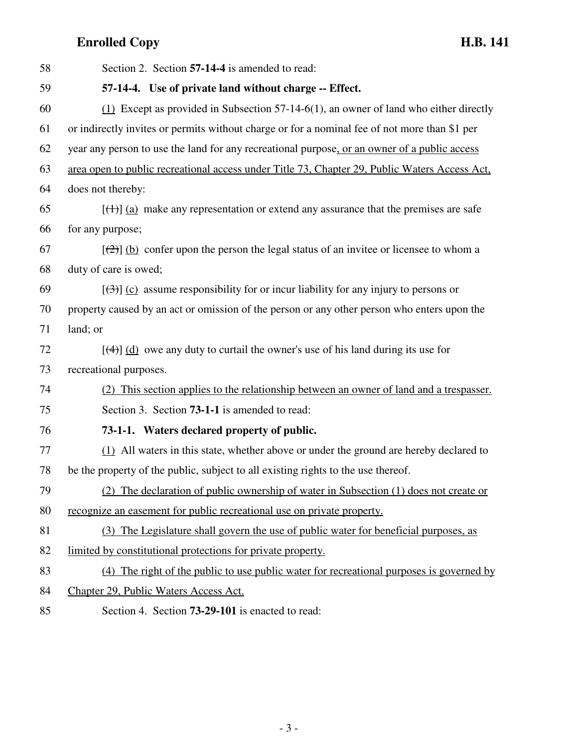| 58 | Section 2. Section 57-14-4 is amended to read:                                                             |
|----|------------------------------------------------------------------------------------------------------------|
| 59 | 57-14-4. Use of private land without charge -- Effect.                                                     |
| 60 | $(1)$ Except as provided in Subsection 57-14-6(1), an owner of land who either directly                    |
| 61 | or indirectly invites or permits without charge or for a nominal fee of not more than \$1 per              |
| 62 | year any person to use the land for any recreational purpose, or an owner of a public access               |
| 63 | area open to public recreational access under Title 73, Chapter 29, Public Waters Access Act,              |
| 64 | does not thereby:                                                                                          |
| 65 | $[\text{+}]$ (a) make any representation or extend any assurance that the premises are safe                |
| 66 | for any purpose;                                                                                           |
| 67 | $[\frac{1}{2}]$ (b) confer upon the person the legal status of an invitee or licensee to whom a            |
| 68 | duty of care is owed;                                                                                      |
| 69 | $[\left(\frac{1}{2}\right)]$ (c) assume responsibility for or incur liability for any injury to persons or |
| 70 | property caused by an act or omission of the person or any other person who enters upon the                |
| 71 | land; or                                                                                                   |
| 72 | $[\frac{4}{4}]$ (d) owe any duty to curtail the owner's use of his land during its use for                 |
| 73 | recreational purposes.                                                                                     |
| 74 | (2) This section applies to the relationship between an owner of land and a trespasser.                    |
| 75 | Section 3. Section 73-1-1 is amended to read:                                                              |
| 76 | 73-1-1. Waters declared property of public.                                                                |
| 77 | (1) All waters in this state, whether above or under the ground are hereby declared to                     |
| 78 | be the property of the public, subject to all existing rights to the use thereof.                          |
| 79 | (2) The declaration of public ownership of water in Subsection (1) does not create or                      |
| 80 | recognize an easement for public recreational use on private property.                                     |
| 81 | (3) The Legislature shall govern the use of public water for beneficial purposes, as                       |
| 82 | limited by constitutional protections for private property.                                                |
| 83 | (4) The right of the public to use public water for recreational purposes is governed by                   |
| 84 | Chapter 29, Public Waters Access Act.                                                                      |

85 Section 4. Section **73-29-101** is enacted to read: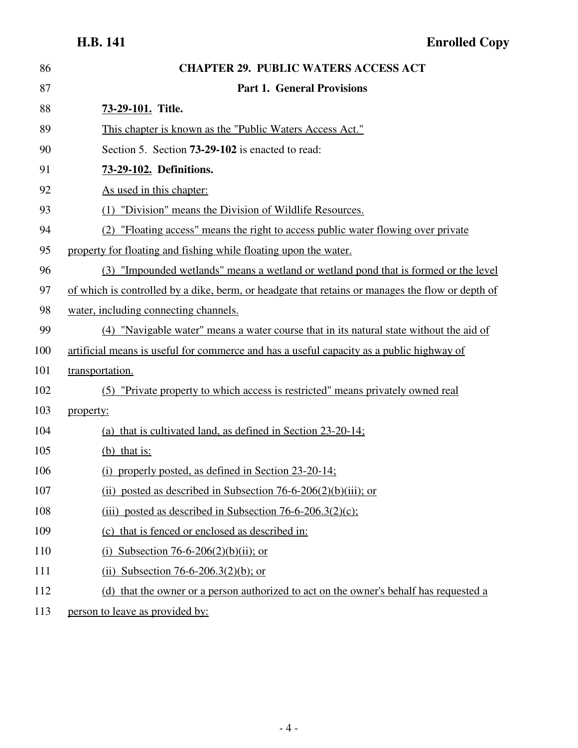| 86  | <b>CHAPTER 29. PUBLIC WATERS ACCESS ACT</b>                                                      |
|-----|--------------------------------------------------------------------------------------------------|
| 87  | <b>Part 1. General Provisions</b>                                                                |
| 88  | 73-29-101. Title.                                                                                |
| 89  | This chapter is known as the "Public Waters Access Act."                                         |
| 90  | Section 5. Section <b>73-29-102</b> is enacted to read:                                          |
| 91  | 73-29-102. Definitions.                                                                          |
| 92  | As used in this chapter:                                                                         |
| 93  | (1) "Division" means the Division of Wildlife Resources.                                         |
| 94  | (2) "Floating access" means the right to access public water flowing over private                |
| 95  | property for floating and fishing while floating upon the water.                                 |
| 96  | (3) "Impounded wetlands" means a wetland or wetland pond that is formed or the level             |
| 97  | of which is controlled by a dike, berm, or headgate that retains or manages the flow or depth of |
| 98  | water, including connecting channels.                                                            |
| 99  | (4) "Navigable water" means a water course that in its natural state without the aid of          |
| 100 | artificial means is useful for commerce and has a useful capacity as a public highway of         |
| 101 | transportation.                                                                                  |
| 102 | (5) "Private property to which access is restricted" means privately owned real                  |
| 103 | property:                                                                                        |
| 104 | (a) that is cultivated land, as defined in Section $23-20-14$ ;                                  |
| 105 | $(b)$ that is:                                                                                   |
| 106 | (i) properly posted, as defined in Section $23-20-14$ ;                                          |
| 107 | (ii) posted as described in Subsection $76-6-206(2)(b)(iii)$ ; or                                |
| 108 | (iii) posted as described in Subsection $76-6-206.3(2)(c)$ ;                                     |
| 109 | (c) that is fenced or enclosed as described in:                                                  |
| 110 | (i) Subsection 76-6-206(2)(b)(ii); or                                                            |
| 111 | (ii) Subsection 76-6-206.3(2)(b); or                                                             |
| 112 | (d) that the owner or a person authorized to act on the owner's behalf has requested a           |
| 113 | person to leave as provided by:                                                                  |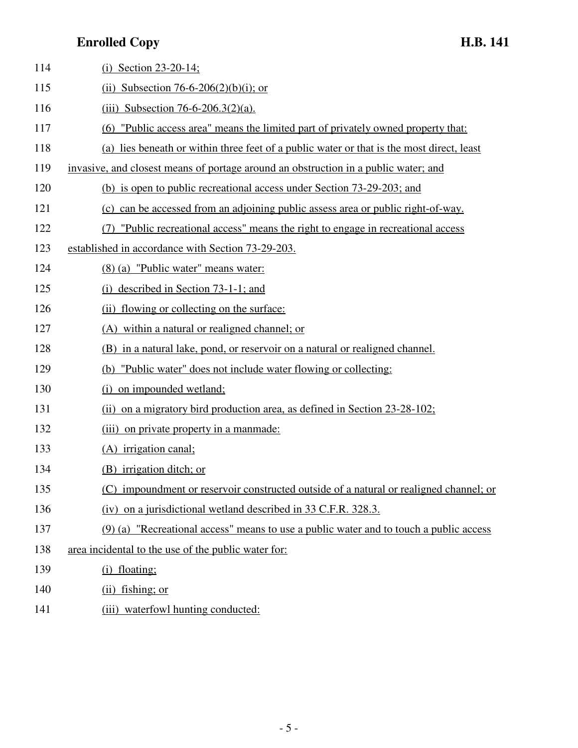| 114 | (i) Section $23-20-14$ ;                                                                  |
|-----|-------------------------------------------------------------------------------------------|
| 115 | (ii) Subsection 76-6-206(2)(b)(i); or                                                     |
| 116 | (iii) Subsection 76-6-206.3(2)(a).                                                        |
| 117 | "Public access area" means the limited part of privately owned property that:<br>(6)      |
| 118 | (a) lies beneath or within three feet of a public water or that is the most direct, least |
| 119 | invasive, and closest means of portage around an obstruction in a public water; and       |
| 120 | (b) is open to public recreational access under Section 73-29-203; and                    |
| 121 | (c) can be accessed from an adjoining public assess area or public right-of-way.          |
| 122 | (7) "Public recreational access" means the right to engage in recreational access         |
| 123 | established in accordance with Section 73-29-203.                                         |
| 124 | (8) (a) "Public water" means water:                                                       |
| 125 | (i) described in Section $73-1-1$ ; and                                                   |
| 126 | flowing or collecting on the surface:<br>(ii)                                             |
| 127 | (A) within a natural or realigned channel; or                                             |
| 128 | (B) in a natural lake, pond, or reservoir on a natural or realigned channel.              |
| 129 | (b) "Public water" does not include water flowing or collecting:                          |
| 130 | on impounded wetland;<br>(i)                                                              |
| 131 | (ii) on a migratory bird production area, as defined in Section 23-28-102;                |
| 132 | (iii) on private property in a manmade:                                                   |
| 133 | (A) irrigation canal;                                                                     |
| 134 | (B) irrigation ditch; or                                                                  |
| 135 | (C) impoundment or reservoir constructed outside of a natural or realigned channel; or    |
| 136 | (iv) on a jurisdictional wetland described in 33 C.F.R. 328.3.                            |
| 137 | (9) (a) "Recreational access" means to use a public water and to touch a public access    |
| 138 | area incidental to the use of the public water for:                                       |
| 139 | (i) floating;                                                                             |
| 140 | $(ii)$ fishing; or                                                                        |
| 141 | (iii) waterfowl hunting conducted:                                                        |

- 5 -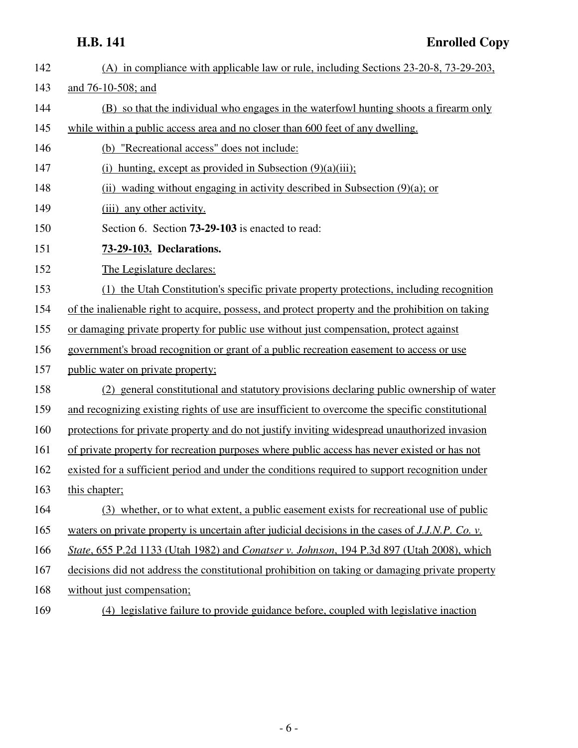- 142 (A) in compliance with applicable law or rule, including Sections 23-20-8, 73-29-203, 143 and 76-10-508; and 144 (B) so that the individual who engages in the waterfowl hunting shoots a firearm only 145 while within a public access area and no closer than 600 feet of any dwelling. 146 (b) "Recreational access" does not include: 147 (i) hunting, except as provided in Subsection (9)(a)(iii); 148 (ii) wading without engaging in activity described in Subsection (9)(a); or 149 (iii) any other activity. 150 Section 6. Section **73-29-103** is enacted to read: 151 **73-29-103. Declarations.** 152 The Legislature declares: 153 (1) the Utah Constitution's specific private property protections, including recognition 154 of the inalienable right to acquire, possess, and protect property and the prohibition on taking 155 or damaging private property for public use without just compensation, protect against 156 government's broad recognition or grant of a public recreation easement to access or use 157 public water on private property; 158 (2) general constitutional and statutory provisions declaring public ownership of water 159 and recognizing existing rights of use are insufficient to overcome the specific constitutional 160 protections for private property and do not justify inviting widespread unauthorized invasion 161 of private property for recreation purposes where public access has never existed or has not 162 existed for a sufficient period and under the conditions required to support recognition under 163 this chapter; 164 (3) whether, or to what extent, a public easement exists for recreational use of public 165 waters on private property is uncertain after judicial decisions in the cases of *J.J.N.P. Co. v.* 166 *State*, 655 P.2d 1133 (Utah 1982) and *Conatser v. Johnson*, 194 P.3d 897 (Utah 2008), which 167 decisions did not address the constitutional prohibition on taking or damaging private property 168 without just compensation;
	- 169 (4) legislative failure to provide guidance before, coupled with legislative inaction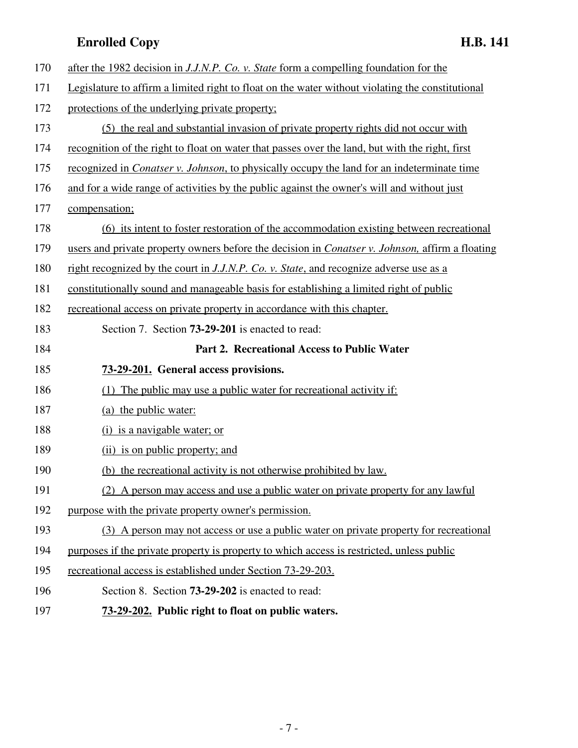| 170 | after the 1982 decision in J.J.N.P. Co. v. State form a compelling foundation for the                   |
|-----|---------------------------------------------------------------------------------------------------------|
| 171 | Legislature to affirm a limited right to float on the water without violating the constitutional        |
| 172 | protections of the underlying private property;                                                         |
| 173 | (5) the real and substantial invasion of private property rights did not occur with                     |
| 174 | recognition of the right to float on water that passes over the land, but with the right, first         |
| 175 | recognized in <i>Conatser v. Johnson</i> , to physically occupy the land for an indeterminate time      |
| 176 | and for a wide range of activities by the public against the owner's will and without just              |
| 177 | compensation;                                                                                           |
| 178 | (6) its intent to foster restoration of the accommodation existing between recreational                 |
| 179 | users and private property owners before the decision in <i>Conatser v. Johnson</i> , affirm a floating |
| 180 | right recognized by the court in J.J.N.P. Co. v. State, and recognize adverse use as a                  |
| 181 | constitutionally sound and manageable basis for establishing a limited right of public                  |
| 182 | recreational access on private property in accordance with this chapter.                                |
| 183 | Section 7. Section <b>73-29-201</b> is enacted to read:                                                 |
|     |                                                                                                         |
| 184 | Part 2. Recreational Access to Public Water                                                             |
| 185 | 73-29-201. General access provisions.                                                                   |
| 186 | (1) The public may use a public water for recreational activity if:                                     |
| 187 | (a) the public water:                                                                                   |
| 188 | (i) is a navigable water; or                                                                            |
| 189 | (ii) is on public property; and                                                                         |
| 190 | (b) the recreational activity is not otherwise prohibited by law.                                       |
| 191 | (2) A person may access and use a public water on private property for any lawful                       |
| 192 | purpose with the private property owner's permission.                                                   |
| 193 | (3) A person may not access or use a public water on private property for recreational                  |
| 194 | purposes if the private property is property to which access is restricted, unless public               |
| 195 | recreational access is established under Section 73-29-203.                                             |
| 196 | Section 8. Section <b>73-29-202</b> is enacted to read:                                                 |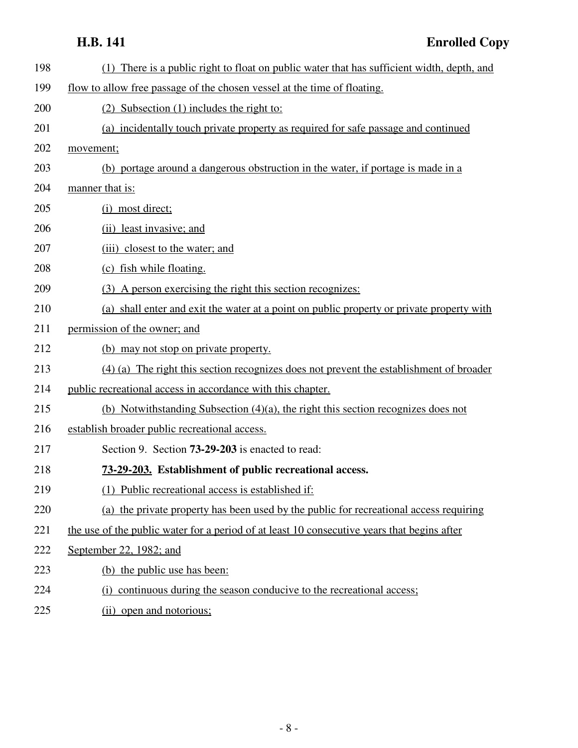| 198 | (1) There is a public right to float on public water that has sufficient width, depth, and  |
|-----|---------------------------------------------------------------------------------------------|
| 199 | flow to allow free passage of the chosen vessel at the time of floating.                    |
| 200 | (2) Subsection (1) includes the right to:                                                   |
| 201 | (a) incidentally touch private property as required for safe passage and continued          |
| 202 | movement;                                                                                   |
| 203 | (b) portage around a dangerous obstruction in the water, if portage is made in a            |
| 204 | manner that is:                                                                             |
| 205 | (i) most direct;                                                                            |
| 206 | (ii) least invasive; and                                                                    |
| 207 | (iii) closest to the water; and                                                             |
| 208 | (c) fish while floating.                                                                    |
| 209 | (3) A person exercising the right this section recognizes:                                  |
| 210 | (a) shall enter and exit the water at a point on public property or private property with   |
| 211 | permission of the owner; and                                                                |
| 212 | (b) may not stop on private property.                                                       |
| 213 | (4) (a) The right this section recognizes does not prevent the establishment of broader     |
| 214 | public recreational access in accordance with this chapter.                                 |
| 215 | (b) Notwithstanding Subsection $(4)(a)$ , the right this section recognizes does not        |
| 216 | establish broader public recreational access.                                               |
| 217 | Section 9. Section <b>73-29-203</b> is enacted to read:                                     |
| 218 | 73-29-203. Establishment of public recreational access.                                     |
| 219 | (1) Public recreational access is established if:                                           |
| 220 | (a) the private property has been used by the public for recreational access requiring      |
| 221 | the use of the public water for a period of at least 10 consecutive years that begins after |
| 222 | September 22, 1982; and                                                                     |
| 223 | (b) the public use has been:                                                                |
| 224 | (i) continuous during the season conducive to the recreational access;                      |
|     |                                                                                             |

225 (ii) open and notorious;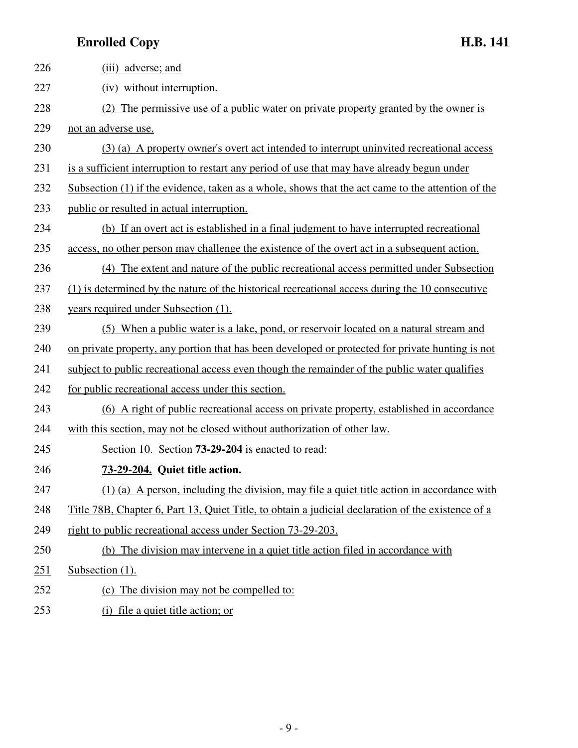| 226 | (iii) adverse; and                                                                                        |
|-----|-----------------------------------------------------------------------------------------------------------|
| 227 | (iv) without interruption.                                                                                |
| 228 | (2) The permissive use of a public water on private property granted by the owner is                      |
| 229 | not an adverse use.                                                                                       |
| 230 | (3) (a) A property owner's overt act intended to interrupt uninvited recreational access                  |
| 231 | is a sufficient interruption to restart any period of use that may have already begun under               |
| 232 | Subsection (1) if the evidence, taken as a whole, shows that the act came to the attention of the         |
| 233 | public or resulted in actual interruption.                                                                |
| 234 | (b) If an overt act is established in a final judgment to have interrupted recreational                   |
| 235 | access, no other person may challenge the existence of the overt act in a subsequent action.              |
| 236 | (4) The extent and nature of the public recreational access permitted under Subsection                    |
| 237 | (1) is determined by the nature of the historical recreational access during the 10 consecutive           |
| 238 | years required under Subsection (1).                                                                      |
| 239 | (5) When a public water is a lake, pond, or reservoir located on a natural stream and                     |
| 240 | on private property, any portion that has been developed or protected for private hunting is not          |
| 241 | subject to public recreational access even though the remainder of the public water qualifies             |
| 242 | for public recreational access under this section.                                                        |
| 243 | (6) A right of public recreational access on private property, established in accordance                  |
| 244 | with this section, may not be closed without authorization of other law.                                  |
| 245 | Section 10. Section <b>73-29-204</b> is enacted to read:                                                  |
| 246 | 73-29-204. Quiet title action.                                                                            |
| 247 | $(1)$ (a) A person, including the division, may file a quiet title action in accordance with              |
| 248 | <u>Title 78B, Chapter 6, Part 13, Quiet Title, to obtain a judicial declaration of the existence of a</u> |
| 249 | right to public recreational access under Section 73-29-203.                                              |
| 250 | (b) The division may intervene in a quiet title action filed in accordance with                           |
| 251 | Subsection (1).                                                                                           |
| 252 | (c) The division may not be compelled to:                                                                 |
| 253 | (i) file a quiet title action; or                                                                         |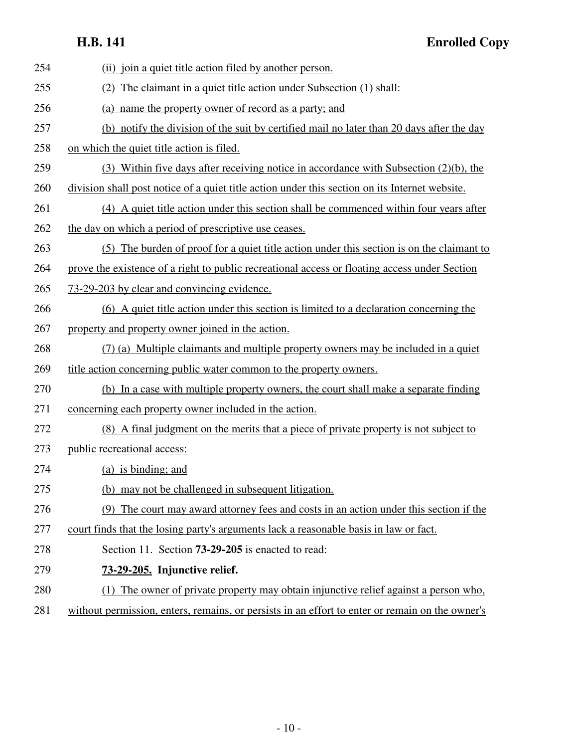### **H.B. 141 Enrolled Copy**

| 254 | (ii) join a quiet title action filed by another person.                                         |
|-----|-------------------------------------------------------------------------------------------------|
| 255 | (2) The claimant in a quiet title action under Subsection (1) shall:                            |
| 256 | (a) name the property owner of record as a party; and                                           |
| 257 | (b) notify the division of the suit by certified mail no later than 20 days after the day       |
| 258 | on which the quiet title action is filed.                                                       |
| 259 | (3) Within five days after receiving notice in accordance with Subsection (2)(b), the           |
| 260 | division shall post notice of a quiet title action under this section on its Internet website.  |
| 261 | (4) A quiet title action under this section shall be commenced within four years after          |
| 262 | the day on which a period of prescriptive use ceases.                                           |
| 263 | (5) The burden of proof for a quiet title action under this section is on the claimant to       |
| 264 | prove the existence of a right to public recreational access or floating access under Section   |
| 265 | 73-29-203 by clear and convincing evidence.                                                     |
| 266 | (6) A quiet title action under this section is limited to a declaration concerning the          |
| 267 | property and property owner joined in the action.                                               |
| 268 | (7) (a) Multiple claimants and multiple property owners may be included in a quiet              |
| 269 | title action concerning public water common to the property owners.                             |
| 270 | (b) In a case with multiple property owners, the court shall make a separate finding            |
| 271 | concerning each property owner included in the action.                                          |
| 272 | (8) A final judgment on the merits that a piece of private property is not subject to           |
| 273 | public recreational access:                                                                     |
| 274 | (a) is binding; and                                                                             |
| 275 | (b) may not be challenged in subsequent litigation.                                             |
| 276 | The court may award attorney fees and costs in an action under this section if the<br>(9)       |
| 277 | court finds that the losing party's arguments lack a reasonable basis in law or fact.           |
| 278 | Section 11. Section <b>73-29-205</b> is enacted to read:                                        |
| 279 | 73-29-205. Injunctive relief.                                                                   |
| 280 | The owner of private property may obtain injunctive relief against a person who,                |
| 281 | without permission, enters, remains, or persists in an effort to enter or remain on the owner's |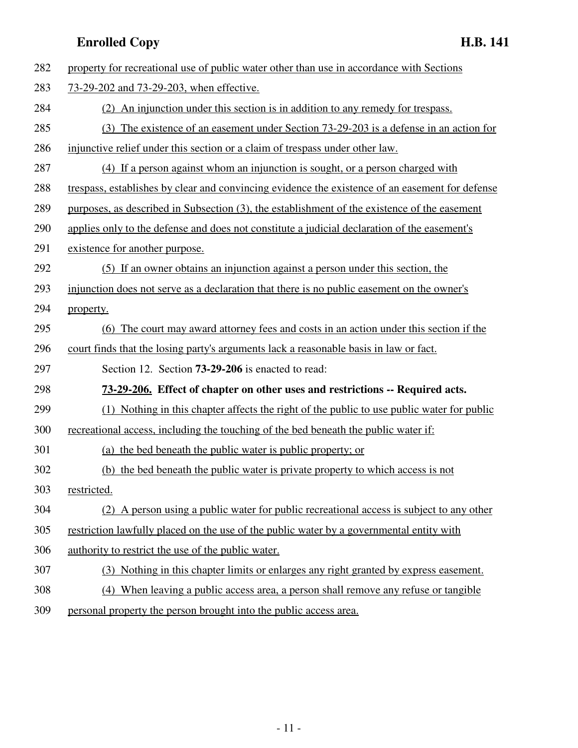| 282 | property for recreational use of public water other than use in accordance with Sections        |
|-----|-------------------------------------------------------------------------------------------------|
| 283 | 73-29-202 and 73-29-203, when effective.                                                        |
| 284 | (2) An injunction under this section is in addition to any remedy for trespass.                 |
| 285 | (3) The existence of an easement under Section 73-29-203 is a defense in an action for          |
| 286 | injunctive relief under this section or a claim of trespass under other law.                    |
| 287 | (4) If a person against whom an injunction is sought, or a person charged with                  |
| 288 | trespass, establishes by clear and convincing evidence the existence of an easement for defense |
| 289 | purposes, as described in Subsection (3), the establishment of the existence of the easement    |
| 290 | applies only to the defense and does not constitute a judicial declaration of the easement's    |
| 291 | existence for another purpose.                                                                  |
| 292 | (5) If an owner obtains an injunction against a person under this section, the                  |
| 293 | injunction does not serve as a declaration that there is no public easement on the owner's      |
| 294 | property.                                                                                       |
| 295 | (6) The court may award attorney fees and costs in an action under this section if the          |
| 296 | court finds that the losing party's arguments lack a reasonable basis in law or fact.           |
| 297 | Section 12. Section <b>73-29-206</b> is enacted to read:                                        |
| 298 | 73-29-206. Effect of chapter on other uses and restrictions -- Required acts.                   |
| 299 | (1) Nothing in this chapter affects the right of the public to use public water for public      |
| 300 | recreational access, including the touching of the bed beneath the public water if:             |
| 301 | (a) the bed beneath the public water is public property; or                                     |
| 302 | (b) the bed beneath the public water is private property to which access is not                 |
| 303 | restricted.                                                                                     |
| 304 | (2) A person using a public water for public recreational access is subject to any other        |
| 305 | restriction lawfully placed on the use of the public water by a governmental entity with        |
| 306 | authority to restrict the use of the public water.                                              |
| 307 | (3) Nothing in this chapter limits or enlarges any right granted by express easement.           |
| 308 | (4) When leaving a public access area, a person shall remove any refuse or tangible             |
| 309 | personal property the person brought into the public access area.                               |